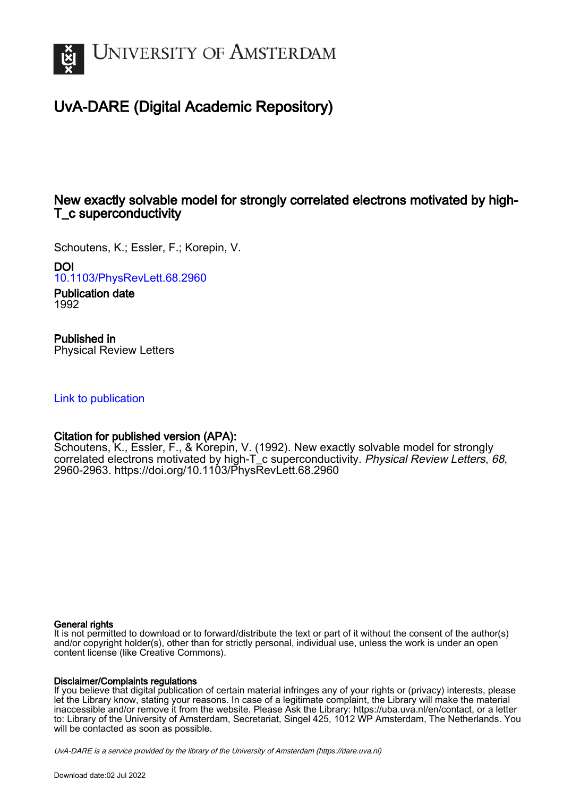

# UvA-DARE (Digital Academic Repository)

# New exactly solvable model for strongly correlated electrons motivated by high-T\_c superconductivity

Schoutens, K.; Essler, F.; Korepin, V.

DOI

[10.1103/PhysRevLett.68.2960](https://doi.org/10.1103/PhysRevLett.68.2960)

Publication date 1992

# Published in

Physical Review Letters

## [Link to publication](https://dare.uva.nl/personal/pure/en/publications/new-exactly-solvable-model-for-strongly-correlated-electrons-motivated-by-hightc-superconductivity(d2292a86-5ec7-4670-b36e-c05a52299bce).html)

### Citation for published version (APA):

Schoutens, K., Essler, F., & Korepin, V. (1992). New exactly solvable model for strongly correlated electrons motivated by high-T\_c superconductivity. Physical Review Letters, 68, 2960-2963.<https://doi.org/10.1103/PhysRevLett.68.2960>

#### General rights

It is not permitted to download or to forward/distribute the text or part of it without the consent of the author(s) and/or copyright holder(s), other than for strictly personal, individual use, unless the work is under an open content license (like Creative Commons).

#### Disclaimer/Complaints regulations

If you believe that digital publication of certain material infringes any of your rights or (privacy) interests, please let the Library know, stating your reasons. In case of a legitimate complaint, the Library will make the material inaccessible and/or remove it from the website. Please Ask the Library: https://uba.uva.nl/en/contact, or a letter to: Library of the University of Amsterdam, Secretariat, Singel 425, 1012 WP Amsterdam, The Netherlands. You will be contacted as soon as possible.

UvA-DARE is a service provided by the library of the University of Amsterdam (http*s*://dare.uva.nl)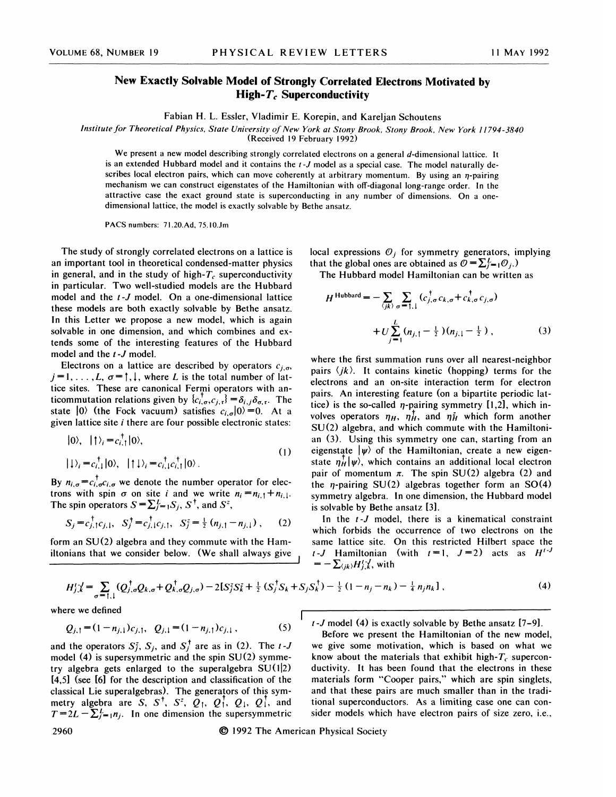### New Exactly Solvable Model of Strongly Correlated Electrons Motivated by High- $T_c$  Superconductivity

Fabian H. L. Essler, Vladimir E. Korepin, and Kareljan Schoutens

Institute for Theoretical Physics, State University of New York at Stony Brook, Stony Brook, New York 11794-3840

(Received 19 February 1992)

We present a new model describing strongly correlated electrons on a general d-dimensional lattice. It is an extended Hubbard model and it contains the  $t - J$  model as a special case. The model naturally describes local electron pairs, which can move coherently at arbitrary momentum. By using an  $\eta$ -pairing mechanism we can construct eigenstates of the Hamiltonian with off-diagonal long-range order. In the attractive case the exact ground state is superconducting in any number of dimensions. On a onedimensional lattice, the model is exactly solvable by Bethe ansatz.

PACS numbers: 71.20.Ad, 75.10.Jm

The study of strongly correlated electrons on a lattice is an important tool in theoretical condensed-matter physics in general, and in the study of high- $T_c$  superconductivity in particular. Two well-studied models are the Hubbard model and the t-J model. On a one-dimensional lattice these models are both exactly solvable by Bethe ansatz. In this Letter we propose a new model, which is again solvable in one dimension, and which combines and extends some of the interesting features of the Hubbard model and the  $t - J$  model.

Electrons on a lattice are described by operators  $c_{j,\sigma}$ ,  $j=1,\ldots,L, \sigma = \uparrow, \downarrow$ , where L is the total number of lattice sites. These are canonical Fermi operators with anticommutation relations given by  $\{c_{i,\sigma}^{\dagger}, c_{j,\tau}\} = \delta_{i,j} \delta_{\sigma,\tau}$ . The state  $|0\rangle$  (the Fock vacuum) satisfies  $c_{i,\sigma}|0\rangle = 0$ . At a given lattice site  $i$  there are four possible electronic states:

$$
\begin{aligned} \n\vert 0 \rangle, \quad \vert \uparrow \rangle_i &= c_{i,1}^\top \vert 0 \rangle, \\ \n\vert \downarrow \rangle_i &= c_{i,1}^\top \vert 0 \rangle, \quad \vert \uparrow \downarrow \rangle_i &= c_{i,1}^\top c_{i,1}^\top \vert 0 \rangle. \n\end{aligned} \tag{1}
$$

By  $n_{i,\sigma} = c_{i,\sigma}^{\dagger} c_{i,\sigma}$  we denote the number operator for electrons with spin  $\sigma$  on site *i* and we write  $n_i = n_{i,1} + n_{i,1}$ . The spin operators  $S = \sum_{i=1}^{L} S_i$ ,  $S^{\dagger}$ , and  $S^z$ ,

$$
S_j = c_{j,1}^{\dagger} c_{j,1}, \quad S_j^{\dagger} = c_{j,1}^{\dagger} c_{j,1}, \quad S_j^z = \frac{1}{2} (n_{j,1} - n_{j,1}) \; , \qquad (2)
$$

form an SU(2) algebra and they commute with the Hamiltonians that we consider below. (We shall always give local expressions  $\mathcal{O}_i$  for symmetry generators, implying that the global ones are obtained as  $\mathcal{O} = \sum_{i=1}^{L} \mathcal{O}_i$ .

The Hubbard model Hamiltonian can be written as

$$
H^{\text{Hubbard}} = -\sum_{\langle jk \rangle} \sum_{\sigma = 1,1} (c_{j,\sigma}^{\dagger} c_{k,\sigma} + c_{k,\sigma}^{\dagger} c_{j,\sigma}) + U \sum_{j=1}^{L} (n_{j,1} - \frac{1}{2}) (n_{j,1} - \frac{1}{2}), \qquad (3)
$$

where the first summation runs over all nearest-neighbor pairs  $\langle jk \rangle$ . It contains kinetic (hopping) terms for the electrons and an on-site interaction term for electron pairs. An interesting feature (on a bipartite periodic lattice) is the so-called  $\eta$ -pairing symmetry [1,2], which involves operators  $\eta_H$ ,  $\eta_H^{\dagger}$ , and  $\eta_H^{\dagger}$  which form another  $SU(2)$  algebra, and which commute with the Hamiltonian (3). Using this symmetry one can, starting from an eigenstate  $|\psi\rangle$  of the Hamiltonian, create a new eigenstate  $\eta_H^1|\psi\rangle$ , which contains an additional local electron pair of momentum  $\pi$ . The spin SU(2) algebra (2) and the *n*-pairing SU(2) algebras together form an SO(4) symmetry algebra. In one dimension, the Hubbard model is solvable by Bethe ansatz [3].

In the t-J model, there is a kinematical constraint which forbids the occurrence of two electrons on the same lattice site. On this restricted Hilbert space the t-J Hamiltonian (with  $t=1$ ,  $J=2$ ) acts as  $H^{t-J}$  $=-\sum_{\langle jk\rangle}H_{j,k}^{\prime}$ , with

$$
H_{j,k}^{t-1} = \sum_{\sigma = \uparrow, \downarrow} (Q_{j,\sigma}^{\dagger} Q_{k,\sigma} + Q_{k,\sigma}^{\dagger} Q_{j,\sigma}) - 2[S_j^z S_k^z + \frac{1}{2} (S_j^{\dagger} S_k + S_j S_k^{\dagger}) - \frac{1}{2} (1 - n_j - n_k) - \frac{1}{4} n_j n_k],
$$
\n(4)

where we defined

$$
Q_{j,1} = (1 - n_{j,1})c_{j,1}, \quad Q_{j,1} = (1 - n_{j,1})c_{j,1}, \tag{5}
$$

and the operators  $S_i^z$ ,  $S_j$ , and  $S_j^{\dagger}$  are as in (2). The t-J model  $(4)$  is supersymmetric and the spin  $SU(2)$  symmetry algebra gets enlarged to the superalgebra  $SU(1|2)$ [4,5] (see [6] for the description and classification of the classical Lie superalgebras). The generators of this sym-<br>metry algebra are S, S<sup>†</sup>, S<sup>z</sup>, Q<sub>1</sub>, Q<sub>1</sub>, Q<sub>1</sub>, Q<sub>1</sub>, Q<sub>1</sub>, and<br> $T=2L-\sum_{j=1}^{L}n_j$ . In one dimension the supersymmetric  $t$ -J model (4) is exactly solvable by Bethe ansatz  $[7-9]$ .

Before we present the Hamiltonian of the new model, we give some motivation, which is based on what we know about the materials that exhibit high- $T_c$  superconductivity. It has been found that the electrons in these materials form "Cooper pairs," which are spin singlets, and that these pairs are much smaller than in the traditional superconductors. As a limiting case one can consider models which have electron pairs of size zero, i.e.,

2960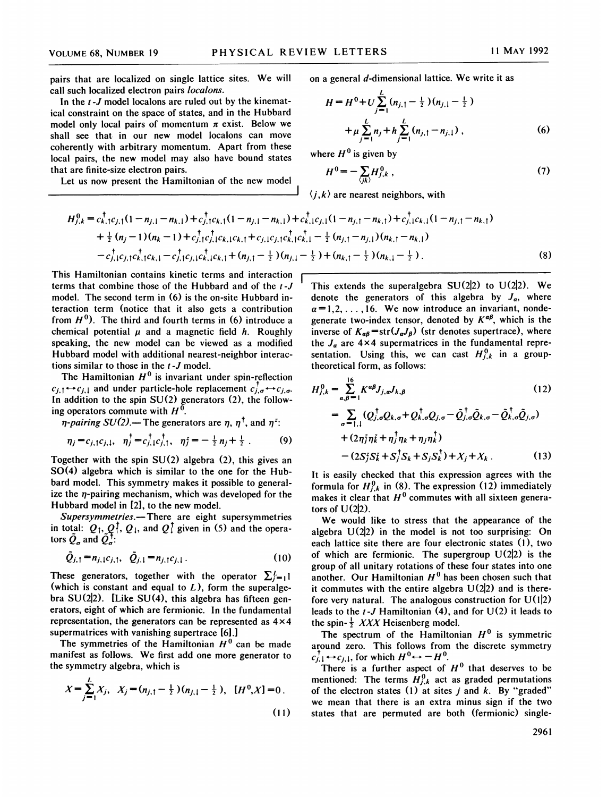pairs that are localized on single lattice sites. We will call such localized electron pairs *localons*.

In the  $t - J$  model localons are ruled out by the kinematical constraint on the space of states, and in the Hubbard model only local pairs of momentum  $\pi$  exist. Below we shall see that in our new model localons can move coherently with arbitrary momentum. Apart from these local pairs, the new model may also have bound states that are finite-size electron pairs.

Let us now present the Hamiltonian of the new model

on a general d-dimensional lattice. We write it as

$$
H = H^{0} + U \sum_{j=1}^{L} (n_{j,1} - \frac{1}{2}) (n_{j,1} - \frac{1}{2})
$$
  
+  $\mu \sum_{j=1}^{L} n_{j} + h \sum_{j=1}^{L} (n_{j,1} - n_{j,1}),$  (6)

where  $H^0$  is given by

$$
H^0 = -\sum_{\langle j,k \rangle} H^0_{j,k} \tag{7}
$$

 $\langle j, k \rangle$  are nearest neighbors, with

$$
H_{j,k}^{0} = c_{k,1}^{\dagger}c_{j,1}(1-n_{j,1}-n_{k,1}) + c_{j,1}^{\dagger}c_{k,1}(1-n_{j,1}-n_{k,1}) + c_{k,1}^{\dagger}c_{j,1}(1-n_{j,1}-n_{k,1}) + c_{j,1}^{\dagger}c_{k,1}(1-n_{j,1}-n_{k,1}) + \frac{1}{2}(n_{j}-1)(n_{k}-1) + c_{j,1}^{\dagger}c_{j,1}^{\dagger}c_{k,1}c_{k,1} + c_{j,1}c_{j,1}c_{k,1}^{\dagger}c_{k,1} - \frac{1}{2}(n_{j,1}-n_{j,1})(n_{k,1}-n_{k,1}) - c_{j,1}^{\dagger}c_{j,1}c_{k,1}^{\dagger}c_{k,1} - c_{j,1}^{\dagger}c_{j,1}c_{k,1}^{\dagger}c_{k,1} + (n_{j,1}-\frac{1}{2})(n_{j,1}-\frac{1}{2}) + (n_{k,1}-\frac{1}{2})(n_{k,1}-\frac{1}{2}).
$$
\n(8)

This Hamiltonian contains kinetic terms and interaction terms that combine those of the Hubbard and of the t-J model. The second term in (6) is the on-site Hubbard interaction term (notice that it also gets a contribution from  $H^0$ ). The third and fourth terms in (6) introduce a chemical potential  $\mu$  and a magnetic field  $h$ . Roughly speaking, the new model can be viewed as a modified Hubbard model with additional nearest-neighbor interactions similar to those in the  $t - J$  model.

The Hamiltonian  $H^0$  is invariant under spin-reflection  $c_{j,1} \leftrightarrow c_{j,1}$  and under particle-hole replacement  $c_{j,\sigma}^{\dagger} \leftrightarrow c_{j,\sigma}$ . In addition to the spin SU(2) generators (2), the following operators commute with  $H^0$ 

*n-pairing SU(2)*.— The generators are  $\eta$ ,  $\eta^{\dagger}$ , and  $\eta^{\dagger}$ .

$$
\eta_j = c_{j,1} c_{j,1}, \quad \eta_j^\dagger = c_{j,1}^\dagger c_{j,1}^\dagger, \quad \eta_j^2 = -\frac{1}{2} n_j + \frac{1}{2} \ . \tag{9}
$$

Together with the spin  $SU(2)$  algebra (2), this gives an  $SO(4)$  algebra which is similar to the one for the Hubbard model. This symmetry makes it possible to generalize the  $\eta$ -pairing mechanism, which was developed for the Hubbard model in [2], to the new model.

Supersymmetries.-There are eight supersymmetries in total:  $Q_1, Q_1, Q_1$ , and  $Q_1$  given in (5) and the operators  $\tilde{Q}_{\sigma}$  and  $\tilde{Q}_{\sigma}^{\dagger}$ .

$$
\tilde{Q}_{j,1} = n_{j,1}c_{j,1}, \quad \tilde{Q}_{j,1} = n_{j,1}c_{j,1}.
$$
\n(10)

These generators, together with the operator  $\sum_{i=1}^{L}$ (which is constant and equal to  $L$ ), form the superalgebra  $SU(2|2)$ . [Like  $SU(4)$ , this algebra has fifteen generators, eight of which are fermionic. In the fundamental representation, the generators can be represented as  $4 \times 4$ supermatrices with vanishing supertrace [6].]

The symmetries of the Hamiltonian  $H^0$  can be made manifest as follows. We first add one more generator to the symmetry algebra, which is

$$
X = \sum_{j=1}^{L} X_j, \quad X_j = (n_{j,1} - \frac{1}{2})(n_{j,1} - \frac{1}{2}), \quad [H^0, X] = 0.
$$
\n(11)

This extends the superalgebra  $SU(2|2)$  to  $U(2|2)$ . We denote the generators of this algebra by  $J_{\alpha}$ , where  $\alpha = 1, 2, \ldots, 16$ . We now introduce an invariant, nondegenerate two-index tensor, denoted by  $K^{\alpha\beta}$ , which is the inverse of  $K_{\alpha\beta}$ =str $(J_{\alpha}J_{\beta})$  (str denotes supertrace), where the  $J_a$  are 4×4 supermatrices in the fundamental representation. Using this, we can cast  $H_{j,k}^0$  in a grouptheoretical form, as follows:

$$
H_{j,k}^{0} = \sum_{a,\beta=1}^{16} K^{a\beta} J_{j,a} J_{k,\beta}
$$
\n
$$
= \sum_{\sigma=1,1} (Q_{j,\sigma}^{\dagger} Q_{k,\sigma} + Q_{k,\sigma}^{\dagger} Q_{j,\sigma} - \tilde{Q}_{j,\sigma}^{\dagger} \tilde{Q}_{k,\sigma} - \tilde{Q}_{k,\sigma}^{\dagger} \tilde{Q}_{j,\sigma})
$$
\n
$$
+ (2\eta_{j}^{2} \eta_{k}^{2} + \eta_{j}^{\dagger} \eta_{k} + \eta_{j} \eta_{k}^{\dagger})
$$
\n
$$
- (2S_{j}^{2} S_{k}^{2} + S_{j}^{\dagger} S_{k} + S_{j} S_{k}^{\dagger}) + X_{j} + X_{k}.
$$
\n(13)

It is easily checked that this expression agrees with the formula for  $H_{j,k}^0$  in (8). The expression (12) immediately makes it clear that  $H^0$  commutes with all sixteen generators of  $U(2|2)$ .

We would like to stress that the appearance of the algebra  $U(2|2)$  in the model is not too surprising: On each lattice site there are four electronic states (1), two of which are fermionic. The supergroup  $U(2|2)$  is the group of all unitary rotations of these four states into one another. Our Hamiltonian  $H^0$  has been chosen such that it commutes with the entire algebra  $U(2|2)$  and is therefore very natural. The analogous construction for  $U(1|2)$ leads to the  $t - J$  Hamiltonian (4), and for  $U(2)$  it leads to the spin- $\frac{1}{2}$  XXX Heisenberg model.

The spectrum of the Hamiltonian  $H^0$  is symmetric around zero. This follows from the discrete symmetry  $c_{j,1}^{\dagger} \leftrightarrow c_{j,1}$ , for which  $H^0 \leftrightarrow -H^0$ .

There is a further aspect of  $H<sup>0</sup>$  that deserves to be mentioned: The terms  $H_{i,k}^{0}$  act as graded permutations of the electron states (1) at sites  $j$  and  $k$ . By "graded" we mean that there is an extra minus sign if the two states that are permuted are both (fermionic) single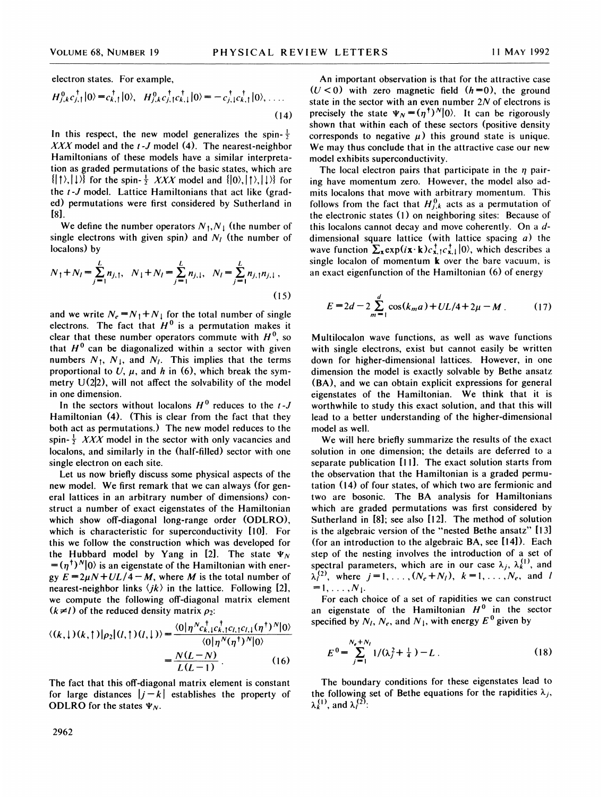electron states. For example,

$$
H_{j,k}^{0}c_{j,1}^{\dagger}|0\rangle = c_{k,1}^{\dagger}|0\rangle, \quad H_{j,k}^{0}c_{j,1}^{\dagger}c_{k,1}^{\dagger}|0\rangle = -c_{j,1}^{\dagger}c_{k,1}^{\dagger}|0\rangle, \quad \dots \tag{14}
$$

In this respect, the new model generalizes the spin- $\frac{1}{2}$ XXX model and the  $t$ -J model (4). The nearest-neighbor Hamiltonians of these models have a similar interpretation as graded permutations of the basic states, which are  $\{|\uparrow\rangle, |\downarrow\rangle\}$  for the spin- $\frac{1}{2}$  XXX model and  $\{|0\rangle, |\uparrow\rangle, |\downarrow\rangle\}$  for the *t*-*J* model. Lattice Hamiltonians that act like (graded) permutations were first considered by Sutherland in  $[8]$ .

We define the number operators  $N_1, N_1$  (the number of single electrons with given spin) and  $N_l$  (the number of localons) by

$$
N_1 + N_l = \sum_{j=1}^{L} n_{j,1}, \quad N_1 + N_l = \sum_{j=1}^{L} n_{j,1}, \quad N_l = \sum_{j=1}^{L} n_{j,1} n_{j,1}, \quad (15)
$$

and we write  $N_e = N_1 + N_1$  for the total number of single electrons. The fact that  $H^0$  is a permutation makes it clear that these number operators commute with  $H^0$ , so that  $H^0$  can be diagonalized within a sector with given numbers  $N_1$ ,  $N_1$ , and  $N_l$ . This implies that the terms proportional to U,  $\mu$ , and h in (6), which break the symmetry  $U(2|2)$ , will not affect the solvability of the model in one dimension.

In the sectors without localons  $H^0$  reduces to the t-J Hamiltonian (4). (This is clear from the fact that they both act as permutations.) The new model reduces to the spin- $\frac{1}{2}$  XXX model in the sector with only vacancies and localons, and similarly in the (half-filled) sector with one single electron on each site.

Let us now briefly discuss some physical aspects of the new model. We first remark that we can always (for general lattices in an arbitrary number of dimensions) construct a number of exact eigenstates of the Hamiltonian which show off-diagonal long-range order (ODLRO), which is characteristic for superconductivity [10]. For this we follow the construction which was developed for the Hubbard model by Yang in [2]. The state  $\Psi_N$  $= (\eta^{\dagger})^N |0\rangle$  is an eigenstate of the Hamiltonian with energy  $E = 2\mu N + UL/4 - M$ , where M is the total number of nearest-neighbor links  $\langle ik \rangle$  in the lattice. Following [2], we compute the following off-diagonal matrix element  $(k \neq l)$  of the reduced density matrix  $\rho_2$ :

$$
\langle (k,1)(k,1)|\rho_2|(l,1)(l,1)\rangle = \frac{\langle 0|\eta^N c_{k,1}^{\dagger}c_{k,1}^{\dagger}c_{l,1}c_{l,1}(\eta^{\dagger})^N|0\rangle}{\langle 0|\eta^N(\eta^{\dagger})^N|0\rangle} = \frac{N(L-N)}{I(I-1)}.
$$
 (16)

The fact that this off-diagonal matrix element is constant for large distances  $|i-k|$  establishes the property of ODLRO for the states  $\Psi_N$ .

An important observation is that for the attractive case  $(U < 0)$  with zero magnetic field  $(h=0)$ , the ground state in the sector with an even number  $2N$  of electrons is precisely the state  $\Psi_N = (\eta^{\dagger})^N |0\rangle$ . It can be rigorously shown that within each of these sectors (positive density corresponds to negative  $\mu$ ) this ground state is unique. We may thus conclude that in the attractive case our new model exhibits superconductivity.

The local electron pairs that participate in the  $\eta$  pairing have momentum zero. However, the model also admits localons that move with arbitrary momentum. This follows from the fact that  $H_{i,k}^{0}$  acts as a permutation of the electronic states (1) on neighboring sites: Because of this localons cannot decay and move coherently. On a ddimensional square lattice (with lattice spacing  $a$ ) the wave function  $\sum_{\mathbf{x}} \exp(i\mathbf{x} \cdot \mathbf{k}) c_{\mathbf{x},1}^{\dagger} c_{\mathbf{x},1}^{\dagger} |0\rangle$ , which describes a single localon of momentum k over the bare vacuum, is an exact eigenfunction of the Hamiltonian (6) of energy

$$
E = 2d - 2\sum_{m=1}^{d} \cos(k_m a) + UL/4 + 2\mu - M \,. \tag{17}
$$

Multilocalon wave functions, as well as wave functions with single electrons, exist but cannot easily be written down for higher-dimensional lattices. However, in one dimension the model is exactly solvable by Bethe ansatz (BA), and we can obtain explicit expressions for general eigenstates of the Hamiltonian. We think that it is worthwhile to study this exact solution, and that this will lead to a better understanding of the higher-dimensional model as well.

We will here briefly summarize the results of the exact solution in one dimension; the details are deferred to a separate publication [11]. The exact solution starts from the observation that the Hamiltonian is a graded permutation (14) of four states, of which two are fermionic and two are bosonic. The BA analysis for Hamiltonians which are graded permutations was first considered by Sutherland in [8]; see also [12]. The method of solution is the algebraic version of the "nested Bethe ansatz" [13] (for an introduction to the algebraic BA, see [14]). Each step of the nesting involves the introduction of a set of spectral parameters, which are in our case  $\lambda_j$ ,  $\lambda_k^{(1)}$ , and  $\lambda_1^{(2)}$ , where  $j = 1, ..., (N_e + N_l)$ ,  $k = 1, ..., N_e$ , and l  $=1,\ldots,N_1.$ 

For each choice of a set of rapidities we can construct an eigenstate of the Hamiltonian  $H^0$  in the sector specified by  $N_l$ ,  $N_e$ , and  $N_l$ , with energy  $E^0$  given by

$$
E^{0} = \sum_{j=1}^{N_c + N_l} 1/(\lambda_j^2 + \frac{1}{4}) - L
$$
 (18)

The boundary conditions for these eigenstates lead to the following set of Bethe equations for the rapidities  $\lambda_i$ ,  $\lambda_k^{(1)}$ , and  $\lambda_l^{(2)}$ :